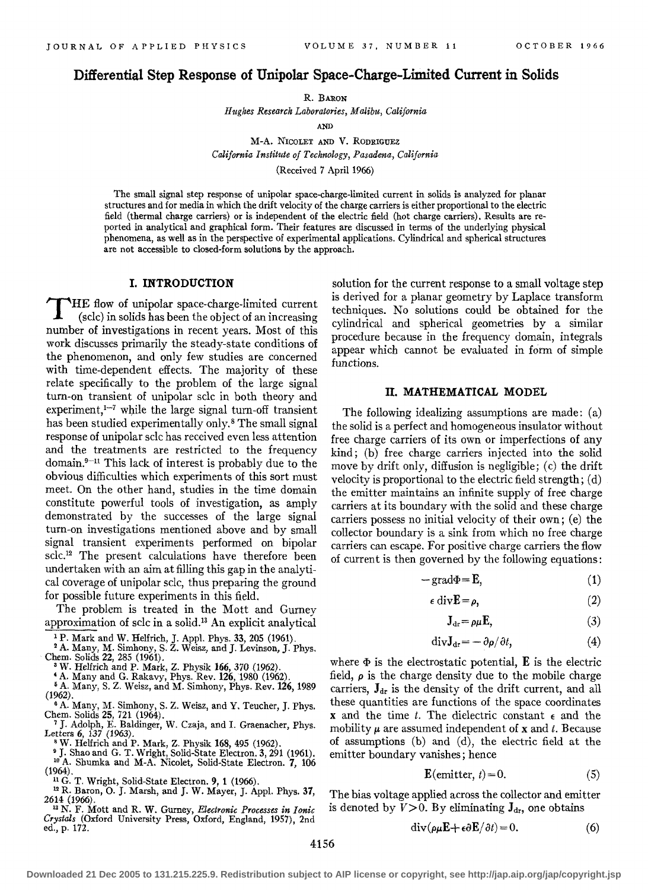# Differential Step Response of Unipolar Space-Charge-Limited Current in Solids

R. BARON

*Hughes Research Laboratories, Malibu, California* 

AND

M-A. NICOLET AND V. RODRIGUEZ *California Institute of Technology, Pasadena, California*  (Received 7 April 1966)

The small signal step response of unipolar space-charge-limited current in solids is analyzed for planar structures and for media in which the drift velocity of the charge carriers is either proportional to the electric field (thermal charge carriers) or is independent of the electric field (hot charge carriers). Results are reported in analytical and graphical form. Their features are discussed in terms of the underlying physical phenomena, as well as in the perspective of experimental applications. Cylindrical and spherical structures are not accessible to closed-form solutions by the approach.

### I. INTRODUCTION

HE flow of unipolar space-charge-limited current (sclc) in solids has been the object of an increasing number of investigations in recent years. Most of this work discusses primarily the steady-state conditions of the phenomenon, and only few studies are concerned with time-dependent effects. The majority of these relate specifically to the problem of the large signal turn-on transient of unipolar sclc in both theory and experiment, $1-7$  while the large signal turn-off transient has been studied experimentally only.<sup>8</sup> The small signal response of unipolar sclc has received even less attention and the treatments are restricted to the frequency domain.<sup>9-11</sup> This lack of interest is probably due to the obvious difficulties which experiments of this sort must meet. On the other hand, studies in the time domain constitute powerful tools of investigation, as amply demonstrated by the successes of the large signal turn-on investigations mentioned above and by small signal transient experiments performed on bipolar sclc.12 The present calculations have therefore been undertaken with an aim at filling this gap in the analytical coverage of unipolar sdc, thus preparing the ground for possible future experiments in this field.

The problem is treated in the Mott and Gurney approximation of sclc in a solid.13 An explicit analytical

<sup>1</sup> P. Mark and W. Helfrich, J. Appl. Phys. 33, 205 (1961).<br><sup>2</sup> A. Many, M. Simhony, S. Z. Weisz, and J. Levinson, J. Phys. Chem. Solids 22, 285 (1961). Chern. Solids 22, 285 (1961). 3 W. Helfrich and P. Mark, Z. Physik 166, 370 (1962).

'A. Many and G. Rakavy, Phys. Rev. 126,1980 (1962). 6 A. Many, S. Z. Weisz, and M. Simhony, Phys. Rev. 126, 1989

(1962).<br>  $\bullet$  A. Many, M. Simhony, S. Z. Weisz, and Y. Teucher, J. Phys.

Chern. Solids 25, 721 (1964). 7 J. Adolph, E. Baldinger, W. Czaja, and I. Graenacher, Phys.

I"etters 6, 137 (1963).<br><sup>8</sup> W. Helfrich and P. Mark, Z. Physik 168, 495 (1962).<br><sup>9</sup> J. Shao and G. T. Wright, Solid-State Electron. 3, 291 (1961).<br><sup>10</sup> A. Shumka and M-A. Nicolet, Solid-State Electron. 7, 106<br>(1964).

<sup>11</sup> G. T. Wright, Solid-State Electron. 9, 1 (1966). <sup>12</sup> R. Baron, O. J. Marsh, and J. W. Mayer, J. Appl. Phys. 37, 2614 (1966).

2614 (1966). 1 3 N. F. Mott and R. W. Gurney, *Electronic Processes in Ionic Crystals* (Oxford University Press, Oxford, England, 1957), 2nd ed., p. 172.

solution for the current response to a small voltage step is derived for a planar geometry by Laplace transform techniques. No solutions could be obtained for the cylindrical and spherical geometries by a similar procedure because in the frequency domain, integrals appear which cannot be evaluated in form of simple functions.

#### II. MATHEMATICAL MODEL

The following idealizing assumptions are made: (a) the solid is a perfect and homogeneous insulator without free charge carriers of its own or imperfections of any kind; (b) free charge carriers injected into the solid move by drift only, diffusion is negligible; (c) the drift velocity is proportional to the electric field strength; (d) the emitter maintains an infinite supply of free charge carriers at its boundary with the solid and these charge carriers possess no initial velocity of their own; (e) the collector boundary is a sink from which no free charge carriers can escape. For positive charge carriers the flow of current is then governed by the following equations:

$$
-\text{grad}\Phi = \mathbf{E},\tag{1}
$$

$$
\epsilon \operatorname{div} \mathbf{E} = \rho, \tag{2}
$$

$$
\mathbf{J}_{\mathrm{dr}} = \rho \mu \mathbf{E},\tag{3}
$$

$$
divJdr = -\partial \rho / \partial t,
$$
 (4)

where  $\Phi$  is the electrostatic potential,  $\mathbf E$  is the electric field,  $\rho$  is the charge density due to the mobile charge carriers,  $J_{dr}$  is the density of the drift current, and all these quantities are functions of the space coordinates **x** and the time *t*. The dielectric constant  $\epsilon$  and the mobility  $\mu$  are assumed independent of x and *t*. Because of assumptions (b) and (d), the electric field at the emitter boundary vanishes; hence

$$
\mathbf{E}(\text{emitter}, t) = 0. \tag{5}
$$

The bias voltage applied across the collector and emitter is denoted by  $V>0$ . By eliminating  $J_{dr}$ , one obtains

$$
\operatorname{div}(\rho \mu \mathbf{E} + \epsilon \partial \mathbf{E} / \partial t) = 0. \tag{6}
$$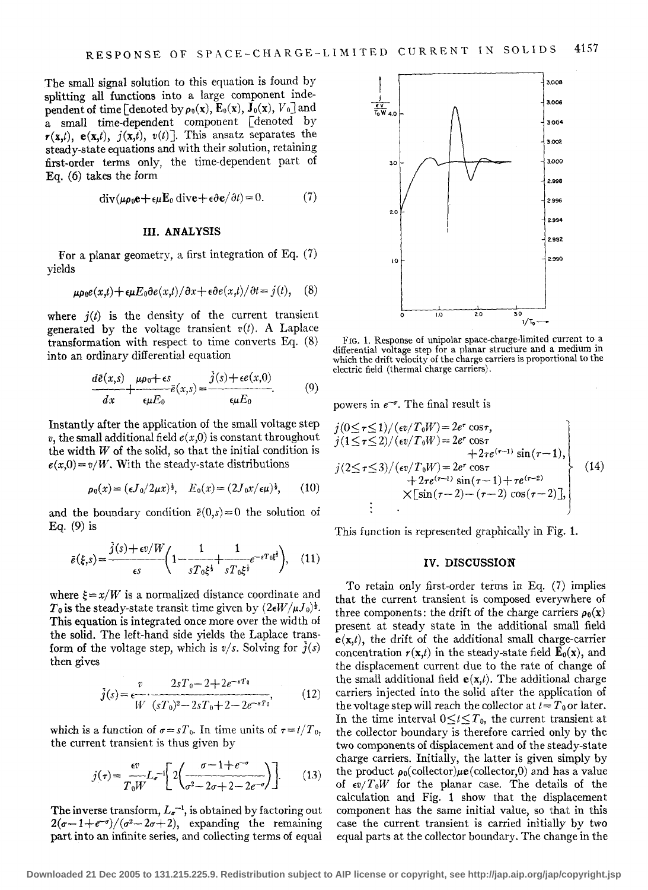The small signal solution to this equation is found by splitting all functions into a large component independent of time [denoted by  $\rho_0(x)$ ,  $E_0(x)$ ,  $J_0(x)$ ,  $V_0$ ] and a small time-dependent component [denoted by  $r(x,t)$ ,  $e(x,t)$ ,  $j(x,t)$ ,  $v(t)$ ]. This ansatz separates the steady-state equations and with their solution, retaining first-order terms only, the time-dependent part of Eq. (6) takes the form

$$
\operatorname{div}(\mu \rho_0 \mathbf{e} + \epsilon \mu \mathbf{E}_0 \operatorname{div} \mathbf{e} + \epsilon \partial \mathbf{e}/\partial t) = 0. \tag{7}
$$

## **III. ANALYSIS**

For a planar geometry, a first integration of Eq. (7) yields

$$
\mu \rho_0 e(x,t) + \epsilon \mu E_0 \partial e(x,t) / \partial x + \epsilon \partial e(x,t) / \partial t = j(t), \quad (8)
$$

where  $i(t)$  is the density of the current transient generated by the voltage transient  $v(t)$ . A Laplace transformation with respect to time converts Eq. (8) into an ordinary differential equation

$$
\frac{d\bar{e}(x,s)}{dx} + \frac{\mu \rho_0 + \epsilon s}{\epsilon \mu E_0} \bar{e}(x,s) = \frac{j(s) + \epsilon e(x,0)}{\epsilon \mu E_0}.
$$
 (9)

Instantly after the application of the small voltage step  $v$ , the small additional field  $e(x,0)$  is constant throughout the width  $W$  of the solid, so that the initial condition is  $e(x,0) = v/W$ . With the steady-state distributions

$$
\rho_0(x) = (\epsilon J_0/2\mu x)^{\frac{1}{2}}, \quad E_0(x) = (2J_0x/\epsilon\mu)^{\frac{1}{2}}, \qquad (10)
$$

and the boundary condition  $\bar{e}(0,s)=0$  the solution of Eq. (9) is This function is represented graphically in Fig. 1.

$$
\bar{e}(\xi,s) = \frac{j(s) + \epsilon v/W}{\epsilon s} \left( 1 - \frac{1}{sT_0\xi^{\frac{1}{2}}} + \frac{1}{sT_0\xi^{\frac{1}{2}}}e^{-sT_0\xi^{\frac{1}{2}}}\right), \quad (11)
$$

where  $\xi = x/W$  is a normalized distance coordinate and  $T_0$  is the steady-state transit time given by  $(2\epsilon W/\mu J_0)^{\frac{1}{2}}$ . This equation is integrated once more over the width of the solid. The left-hand side yields the Laplace transform of the voltage step, which is  $v/s$ . Solving for  $\hat{j}(s)$ then gives

$$
\bar{j}(s) = \frac{v}{W} \cdot \frac{2sT_0 - 2 + 2e^{-sT_0}}{(sT_0)^2 - 2sT_0 + 2 - 2e^{-sT_0}},\tag{12}
$$

which is a function of  $\sigma = sT_0$ . In time units of  $\tau = t/T_0$ , the current transient is thus given by

$$
j(\tau) = \frac{\epsilon v}{T_0 W} L_{\sigma}^{-1} \left[ 2 \left( \frac{\sigma - 1 + e^{-\sigma}}{\sigma^2 - 2\sigma + 2 - 2e^{-\sigma}} \right) \right].
$$
 (13)

The inverse transform,  $L_{\sigma}^{-1}$ , is obtained by factoring out  $2(\sigma-1+e^{-\sigma})/(\sigma^2-2\sigma+2)$ , expanding the remaining part into an infinite series, and collecting terms of equal



FIG. 1. Response of unipolar space-charge-limited current to a differential voltage step for a planar structure and a medium in which the drift velocity of the charge carriers is proportional to the electric field (thermal charge carriers).

powers in  $e^{-\sigma}$ . The final result is

$$
j(0 \leq \tau \leq 1)/(\epsilon v/T_0 W) = 2e^{\tau} \cos \tau,
$$
  
\n
$$
j(1 \leq \tau \leq 2)/(\epsilon v/T_0 W) = 2e^{\tau} \cos \tau + 2\tau e^{(\tau-1)} \sin(\tau-1),
$$
  
\n
$$
j(2 \leq \tau \leq 3)/(\epsilon v/T_0 W) = 2e^{\tau} \cos \tau + 2\tau e^{(\tau-1)} \sin(\tau-1) + \tau e^{(\tau-2)} \times [\sin(\tau-2) - (\tau-2) \cos(\tau-2)],
$$
  
\n
$$
\vdots
$$
\n(14)

#### IV. **DISCUSSION**

To retain only first-order terms in Eq. (7) implies that the current transient is composed everywhere of three components: the drift of the charge carriers  $\rho_0(x)$ present at steady state in the additional small field  $e(x,t)$ , the drift of the additional small charge-carrier concentration  $r(\mathbf{x},t)$  in the steady-state field  $\mathbf{E}_0(\mathbf{x})$ , and the displacement current due to the rate of change of the small additional field  $e(x,t)$ . The additional charge carriers injected into the solid after the application of the voltage step will reach the collector at  $t = T_0$  or later. In the time interval  $0 \le t \le T_0$ , the current transient at the collector boundary is therefore carried only by the two components of displacement and of the steady-state charge carriers. Initially, the latter is given simply by the product  $\rho_0$ (collector) $\mu$ **e**(collector,0) and has a value of  $\epsilon v/T_0W$  for the planar case. The details of the calculation and Fig. 1 show that the displacement component has the same initial value, so that in this case the current transient is carried initially by two equal parts at the collector boundary. The change in the